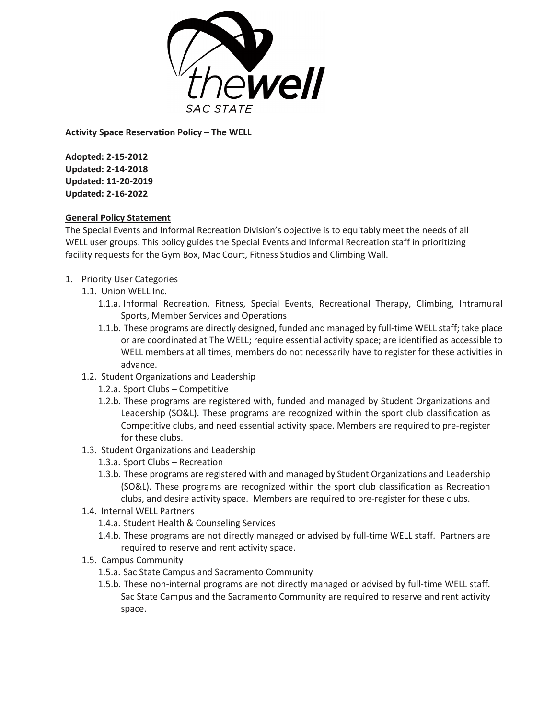

**Activity Space Reservation Policy – The WELL**

**Adopted: 2-15-2012 Updated: 2-14-2018 Updated: 11-20-2019 Updated: 2-16-2022**

## **General Policy Statement**

The Special Events and Informal Recreation Division's objective is to equitably meet the needs of all WELL user groups. This policy guides the Special Events and Informal Recreation staff in prioritizing facility requests for the Gym Box, Mac Court, Fitness Studios and Climbing Wall.

- 1. Priority User Categories
	- 1.1. Union WELL Inc.
		- 1.1.a. Informal Recreation, Fitness, Special Events, Recreational Therapy, Climbing, Intramural Sports, Member Services and Operations
		- 1.1.b. These programs are directly designed, funded and managed by full-time WELL staff; take place or are coordinated at The WELL; require essential activity space; are identified as accessible to WELL members at all times; members do not necessarily have to register for these activities in advance.
	- 1.2. Student Organizations and Leadership
		- 1.2.a. Sport Clubs Competitive
		- 1.2.b. These programs are registered with, funded and managed by Student Organizations and Leadership (SO&L). These programs are recognized within the sport club classification as Competitive clubs, and need essential activity space. Members are required to pre-register for these clubs.
	- 1.3. Student Organizations and Leadership
		- 1.3.a. Sport Clubs Recreation
		- 1.3.b. These programs are registered with and managed by Student Organizations and Leadership (SO&L). These programs are recognized within the sport club classification as Recreation clubs, and desire activity space. Members are required to pre-register for these clubs.
	- 1.4. Internal WELL Partners
		- 1.4.a. Student Health & Counseling Services
		- 1.4.b. These programs are not directly managed or advised by full-time WELL staff. Partners are required to reserve and rent activity space.
	- 1.5. Campus Community
		- 1.5.a. Sac State Campus and Sacramento Community
		- 1.5.b. These non-internal programs are not directly managed or advised by full-time WELL staff. Sac State Campus and the Sacramento Community are required to reserve and rent activity space.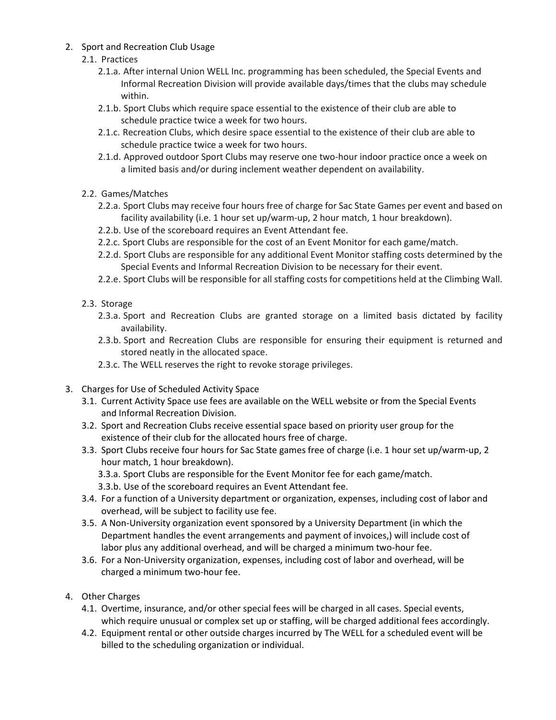2. Sport and Recreation Club Usage

## 2.1. Practices

- 2.1.a. After internal Union WELL Inc. programming has been scheduled, the Special Events and Informal Recreation Division will provide available days/times that the clubs may schedule within.
- 2.1.b. Sport Clubs which require space essential to the existence of their club are able to schedule practice twice a week for two hours.
- 2.1.c. Recreation Clubs, which desire space essential to the existence of their club are able to schedule practice twice a week for two hours.
- 2.1.d. Approved outdoor Sport Clubs may reserve one two-hour indoor practice once a week on a limited basis and/or during inclement weather dependent on availability.
- 2.2. Games/Matches
	- 2.2.a. Sport Clubs may receive four hours free of charge for Sac State Games per event and based on facility availability (i.e. 1 hour set up/warm-up, 2 hour match, 1 hour breakdown).
	- 2.2.b. Use of the scoreboard requires an Event Attendant fee.
	- 2.2.c. Sport Clubs are responsible for the cost of an Event Monitor for each game/match.
	- 2.2.d. Sport Clubs are responsible for any additional Event Monitor staffing costs determined by the Special Events and Informal Recreation Division to be necessary for their event.
	- 2.2.e. Sport Clubs will be responsible for all staffing costs for competitions held at the Climbing Wall.
- 2.3. Storage
	- 2.3.a. Sport and Recreation Clubs are granted storage on a limited basis dictated by facility availability.
	- 2.3.b. Sport and Recreation Clubs are responsible for ensuring their equipment is returned and stored neatly in the allocated space.
	- 2.3.c. The WELL reserves the right to revoke storage privileges.
- 3. Charges for Use of Scheduled Activity Space
	- 3.1. Current Activity Space use fees are available on the WELL website or from the Special Events and Informal Recreation Division.
	- 3.2. Sport and Recreation Clubs receive essential space based on priority user group for the existence of their club for the allocated hours free of charge.
	- 3.3. Sport Clubs receive four hours for Sac State games free of charge (i.e. 1 hour set up/warm-up, 2 hour match, 1 hour breakdown).
		- 3.3.a. Sport Clubs are responsible for the Event Monitor fee for each game/match.
		- 3.3.b. Use of the scoreboard requires an Event Attendant fee.
	- 3.4. For a function of a University department or organization, expenses, including cost of labor and overhead, will be subject to facility use fee.
	- 3.5. A Non-University organization event sponsored by a University Department (in which the Department handles the event arrangements and payment of invoices,) will include cost of labor plus any additional overhead, and will be charged a minimum two-hour fee.
	- 3.6. For a Non-University organization, expenses, including cost of labor and overhead, will be charged a minimum two-hour fee.
- 4. Other Charges
	- 4.1. Overtime, insurance, and/or other special fees will be charged in all cases. Special events, which require unusual or complex set up or staffing, will be charged additional fees accordingly.
	- 4.2. Equipment rental or other outside charges incurred by The WELL for a scheduled event will be billed to the scheduling organization or individual.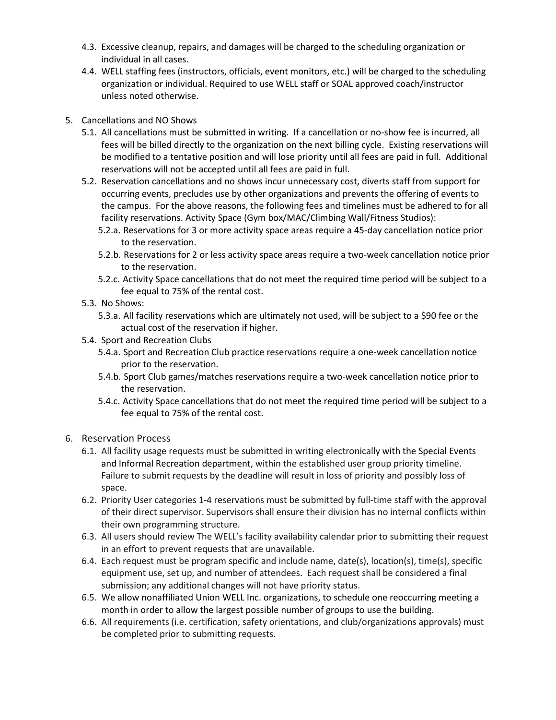- 4.3. Excessive cleanup, repairs, and damages will be charged to the scheduling organization or individual in all cases.
- 4.4. WELL staffing fees (instructors, officials, event monitors, etc.) will be charged to the scheduling organization or individual. Required to use WELL staff or SOAL approved coach/instructor unless noted otherwise.
- 5. Cancellations and NO Shows
	- 5.1. All cancellations must be submitted in writing. If a cancellation or no-show fee is incurred, all fees will be billed directly to the organization on the next billing cycle. Existing reservations will be modified to a tentative position and will lose priority until all fees are paid in full. Additional reservations will not be accepted until all fees are paid in full.
	- 5.2. Reservation cancellations and no shows incur unnecessary cost, diverts staff from support for occurring events, precludes use by other organizations and prevents the offering of events to the campus. For the above reasons, the following fees and timelines must be adhered to for all facility reservations. Activity Space (Gym box/MAC/Climbing Wall/Fitness Studios):
		- 5.2.a. Reservations for 3 or more activity space areas require a 45-day cancellation notice prior to the reservation.
		- 5.2.b. Reservations for 2 or less activity space areas require a two-week cancellation notice prior to the reservation.
		- 5.2.c. Activity Space cancellations that do not meet the required time period will be subject to a fee equal to 75% of the rental cost.
	- 5.3. No Shows:
		- 5.3.a. All facility reservations which are ultimately not used, will be subject to a \$90 fee or the actual cost of the reservation if higher.
	- 5.4. Sport and Recreation Clubs
		- 5.4.a. Sport and Recreation Club practice reservations require a one-week cancellation notice prior to the reservation.
		- 5.4.b. Sport Club games/matches reservations require a two-week cancellation notice prior to the reservation.
		- 5.4.c. Activity Space cancellations that do not meet the required time period will be subject to a fee equal to 75% of the rental cost.
- 6. Reservation Process
	- 6.1. All facility usage requests must be submitted in writing electronically with the Special Events and Informal Recreation department, within the established user group priority timeline. Failure to submit requests by the deadline will result in loss of priority and possibly loss of space.
	- 6.2. Priority User categories 1-4 reservations must be submitted by full-time staff with the approval of their direct supervisor. Supervisors shall ensure their division has no internal conflicts within their own programming structure.
	- 6.3. All users should review The WELL's facility availability calendar prior to submitting their request in an effort to prevent requests that are unavailable.
	- 6.4. Each request must be program specific and include name, date(s), location(s), time(s), specific equipment use, set up, and number of attendees. Each request shall be considered a final submission; any additional changes will not have priority status.
	- 6.5. We allow nonaffiliated Union WELL Inc. organizations, to schedule one reoccurring meeting a month in order to allow the largest possible number of groups to use the building.
	- 6.6. All requirements (i.e. certification, safety orientations, and club/organizations approvals) must be completed prior to submitting requests.